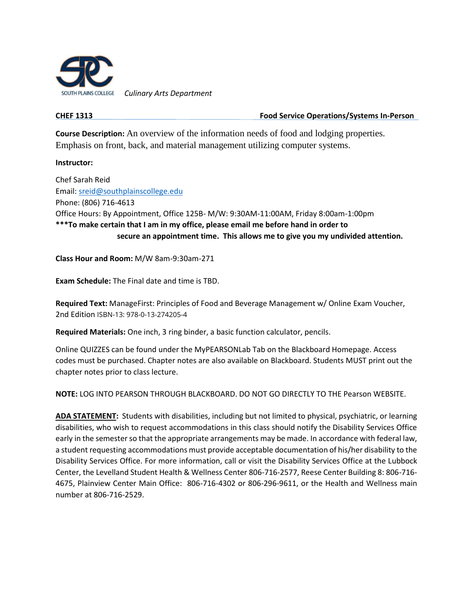

 *Culinary Arts Department*

**CHEF 1313 Food Service Operations/Systems In-Person**

**Course Description:** An overview of the information needs of food and lodging properties. Emphasis on front, back, and material management utilizing computer systems.

# **Instructor:**

Chef Sarah Reid Email: [sreid@southplainscollege.edu](mailto:sreid@southplainscollege.edu) Phone: (806) 716-4613 Office Hours: By Appointment, Office 125B- M/W: 9:30AM-11:00AM, Friday 8:00am-1:00pm **\*\*\*To make certain that I am in my office, please email me before hand in order to secure an appointment time. This allows me to give you my undivided attention.**

**Class Hour and Room:** M/W 8am-9:30am-271

**Exam Schedule:** The Final date and time is TBD.

**Required Text:** ManageFirst: Principles of Food and Beverage Management w/ Online Exam Voucher, 2nd Edition ISBN-13: 978-0-13-274205-4

**Required Materials:** One inch, 3 ring binder, a basic function calculator, pencils.

Online QUIZZES can be found under the MyPEARSONLab Tab on the Blackboard Homepage. Access codes must be purchased. Chapter notes are also available on Blackboard. Students MUST print out the chapter notes prior to class lecture.

**NOTE:** LOG INTO PEARSON THROUGH BLACKBOARD. DO NOT GO DIRECTLY TO THE Pearson WEBSITE.

**ADA STATEMENT:** Students with disabilities, including but not limited to physical, psychiatric, or learning disabilities, who wish to request accommodations in this class should notify the Disability Services Office early in the semester so that the appropriate arrangements may be made. In accordance with federal law, a student requesting accommodations must provide acceptable documentation of his/her disability to the Disability Services Office. For more information, call or visit the Disability Services Office at the Lubbock Center, the Levelland Student Health & Wellness Center 806-716-2577, Reese Center Building 8: 806-716- 4675, Plainview Center Main Office: 806-716-4302 or 806-296-9611, or the Health and Wellness main number at 806-716-2529.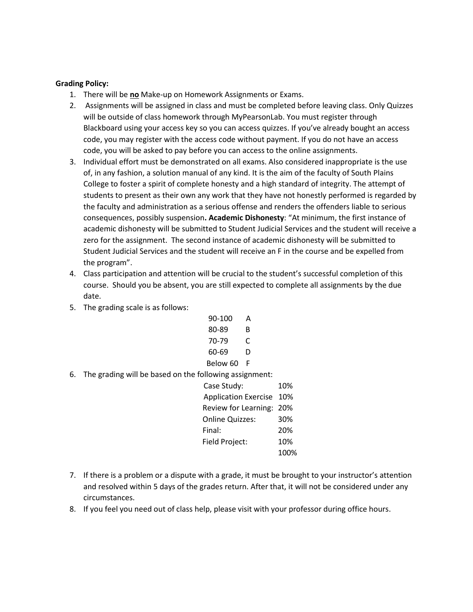# **Grading Policy:**

- 1. There will be **no** Make-up on Homework Assignments or Exams.
- 2. Assignments will be assigned in class and must be completed before leaving class. Only Quizzes will be outside of class homework through MyPearsonLab. You must register through Blackboard using your access key so you can access quizzes. If you've already bought an access code, you may register with the access code without payment. If you do not have an access code, you will be asked to pay before you can access to the online assignments.
- 3. Individual effort must be demonstrated on all exams. Also considered inappropriate is the use of, in any fashion, a solution manual of any kind. It is the aim of the faculty of South Plains College to foster a spirit of complete honesty and a high standard of integrity. The attempt of students to present as their own any work that they have not honestly performed is regarded by the faculty and administration as a serious offense and renders the offenders liable to serious consequences, possibly suspension**. Academic Dishonesty**: "At minimum, the first instance of academic dishonesty will be submitted to Student Judicial Services and the student will receive a zero for the assignment. The second instance of academic dishonesty will be submitted to Student Judicial Services and the student will receive an F in the course and be expelled from the program".
- 4. Class participation and attention will be crucial to the student's successful completion of this course. Should you be absent, you are still expected to complete all assignments by the due date.
- 5. The grading scale is as follows:

| 90-100     | A        |
|------------|----------|
| 80-89      | <b>B</b> |
| 70-79      | C        |
| 60-69      | - D      |
| Below 60 F |          |

6. The grading will be based on the following assignment:

|  | Case Study:                     | 10%  |
|--|---------------------------------|------|
|  | <b>Application Exercise 10%</b> |      |
|  | Review for Learning: 20%        |      |
|  | <b>Online Quizzes:</b>          | 30%  |
|  | Final:                          | 20%  |
|  | Field Project:                  | 10%  |
|  |                                 | 100% |
|  |                                 |      |

- 7. If there is a problem or a dispute with a grade, it must be brought to your instructor's attention and resolved within 5 days of the grades return. After that, it will not be considered under any circumstances.
- 8. If you feel you need out of class help, please visit with your professor during office hours.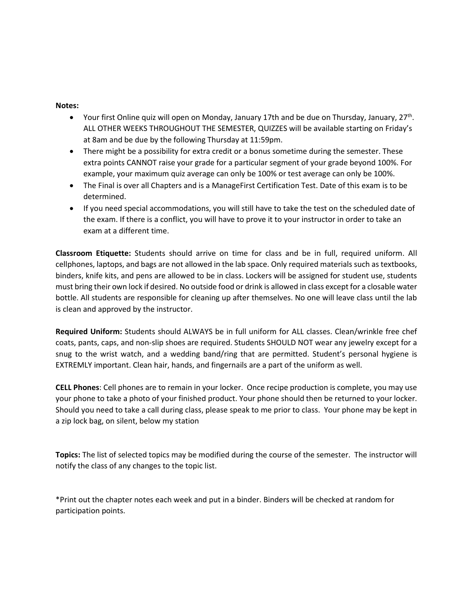### **Notes:**

- Your first Online quiz will open on Monday, January 17th and be due on Thursday, January,  $27<sup>th</sup>$ . ALL OTHER WEEKS THROUGHOUT THE SEMESTER, QUIZZES will be available starting on Friday's at 8am and be due by the following Thursday at 11:59pm.
- There might be a possibility for extra credit or a bonus sometime during the semester. These extra points CANNOT raise your grade for a particular segment of your grade beyond 100%. For example, your maximum quiz average can only be 100% or test average can only be 100%.
- The Final is over all Chapters and is a ManageFirst Certification Test. Date of this exam is to be determined.
- If you need special accommodations, you will still have to take the test on the scheduled date of the exam. If there is a conflict, you will have to prove it to your instructor in order to take an exam at a different time.

**Classroom Etiquette:** Students should arrive on time for class and be in full, required uniform. All cellphones, laptops, and bags are not allowed in the lab space. Only required materials such as textbooks, binders, knife kits, and pens are allowed to be in class. Lockers will be assigned for student use, students must bring their own lock if desired. No outside food or drink is allowed in class except for a closable water bottle. All students are responsible for cleaning up after themselves. No one will leave class until the lab is clean and approved by the instructor.

**Required Uniform:** Students should ALWAYS be in full uniform for ALL classes. Clean/wrinkle free chef coats, pants, caps, and non-slip shoes are required. Students SHOULD NOT wear any jewelry except for a snug to the wrist watch, and a wedding band/ring that are permitted. Student's personal hygiene is EXTREMLY important. Clean hair, hands, and fingernails are a part of the uniform as well.

**CELL Phones**: Cell phones are to remain in your locker. Once recipe production is complete, you may use your phone to take a photo of your finished product. Your phone should then be returned to your locker. Should you need to take a call during class, please speak to me prior to class. Your phone may be kept in a zip lock bag, on silent, below my station

**Topics:** The list of selected topics may be modified during the course of the semester. The instructor will notify the class of any changes to the topic list.

\*Print out the chapter notes each week and put in a binder. Binders will be checked at random for participation points.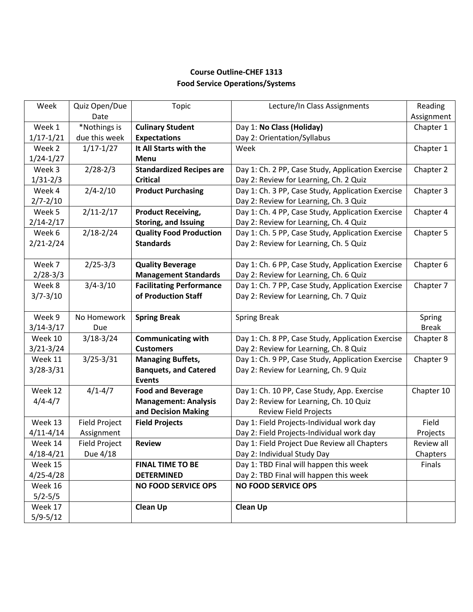# **Course Outline-CHEF 1313 Food Service Operations/Systems**

| Week          | Quiz Open/Due        | <b>Topic</b>                    | Lecture/In Class Assignments                      | Reading      |
|---------------|----------------------|---------------------------------|---------------------------------------------------|--------------|
|               | Date                 |                                 |                                                   | Assignment   |
| Week 1        | *Nothings is         | <b>Culinary Student</b>         | Day 1: No Class (Holiday)                         | Chapter 1    |
| $1/17 - 1/21$ | due this week        | <b>Expectations</b>             | Day 2: Orientation/Syllabus                       |              |
| Week 2        | $1/17 - 1/27$        | It All Starts with the          | Week                                              | Chapter 1    |
| $1/24 - 1/27$ |                      | <b>Menu</b>                     |                                                   |              |
| Week 3        | $2/28 - 2/3$         | <b>Standardized Recipes are</b> | Day 1: Ch. 2 PP, Case Study, Application Exercise | Chapter 2    |
| $1/31 - 2/3$  |                      | <b>Critical</b>                 | Day 2: Review for Learning, Ch. 2 Quiz            |              |
| Week 4        | $2/4 - 2/10$         | <b>Product Purchasing</b>       | Day 1: Ch. 3 PP, Case Study, Application Exercise | Chapter 3    |
| $2/7 - 2/10$  |                      |                                 | Day 2: Review for Learning, Ch. 3 Quiz            |              |
| Week 5        | $2/11 - 2/17$        | <b>Product Receiving,</b>       | Day 1: Ch. 4 PP, Case Study, Application Exercise | Chapter 4    |
| $2/14 - 2/17$ |                      | <b>Storing, and Issuing</b>     | Day 2: Review for Learning, Ch. 4 Quiz            |              |
| Week 6        | $2/18 - 2/24$        | <b>Quality Food Production</b>  | Day 1: Ch. 5 PP, Case Study, Application Exercise | Chapter 5    |
| $2/21 - 2/24$ |                      | <b>Standards</b>                | Day 2: Review for Learning, Ch. 5 Quiz            |              |
|               |                      |                                 |                                                   |              |
| Week 7        | $2/25 - 3/3$         | <b>Quality Beverage</b>         | Day 1: Ch. 6 PP, Case Study, Application Exercise | Chapter 6    |
| $2/28-3/3$    |                      | <b>Management Standards</b>     | Day 2: Review for Learning, Ch. 6 Quiz            |              |
| Week 8        | $3/4 - 3/10$         | <b>Facilitating Performance</b> | Day 1: Ch. 7 PP, Case Study, Application Exercise | Chapter 7    |
| $3/7 - 3/10$  |                      | of Production Staff             | Day 2: Review for Learning, Ch. 7 Quiz            |              |
|               |                      |                                 |                                                   |              |
|               |                      |                                 |                                                   |              |
| Week 9        | No Homework          | <b>Spring Break</b>             | <b>Spring Break</b>                               | Spring       |
| $3/14 - 3/17$ | Due                  |                                 |                                                   | <b>Break</b> |
| Week 10       | $3/18 - 3/24$        | <b>Communicating with</b>       | Day 1: Ch. 8 PP, Case Study, Application Exercise | Chapter 8    |
| $3/21 - 3/24$ |                      | <b>Customers</b>                | Day 2: Review for Learning, Ch. 8 Quiz            |              |
| Week 11       | $3/25 - 3/31$        | <b>Managing Buffets,</b>        | Day 1: Ch. 9 PP, Case Study, Application Exercise | Chapter 9    |
| $3/28 - 3/31$ |                      | <b>Banquets, and Catered</b>    | Day 2: Review for Learning, Ch. 9 Quiz            |              |
|               |                      | <b>Events</b>                   |                                                   |              |
| Week 12       | $4/1 - 4/7$          | <b>Food and Beverage</b>        | Day 1: Ch. 10 PP, Case Study, App. Exercise       | Chapter 10   |
| $4/4 - 4/7$   |                      | <b>Management: Analysis</b>     | Day 2: Review for Learning, Ch. 10 Quiz           |              |
|               |                      | and Decision Making             | <b>Review Field Projects</b>                      |              |
| Week 13       | <b>Field Project</b> | <b>Field Projects</b>           | Day 1: Field Projects-Individual work day         | Field        |
| $4/11 - 4/14$ | Assignment           |                                 | Day 2: Field Projects-Individual work day         | Projects     |
| Week 14       | Field Project        | <b>Review</b>                   | Day 1: Field Project Due Review all Chapters      | Review all   |
| $4/18 - 4/21$ | Due 4/18             |                                 | Day 2: Individual Study Day                       | Chapters     |
| Week 15       |                      | <b>FINAL TIME TO BE</b>         | Day 1: TBD Final will happen this week            | Finals       |
| $4/25 - 4/28$ |                      | <b>DETERMINED</b>               | Day 2: TBD Final will happen this week            |              |
| Week 16       |                      | <b>NO FOOD SERVICE OPS</b>      | <b>NO FOOD SERVICE OPS</b>                        |              |
| $5/2 - 5/5$   |                      |                                 |                                                   |              |
| Week 17       |                      | <b>Clean Up</b>                 | <b>Clean Up</b>                                   |              |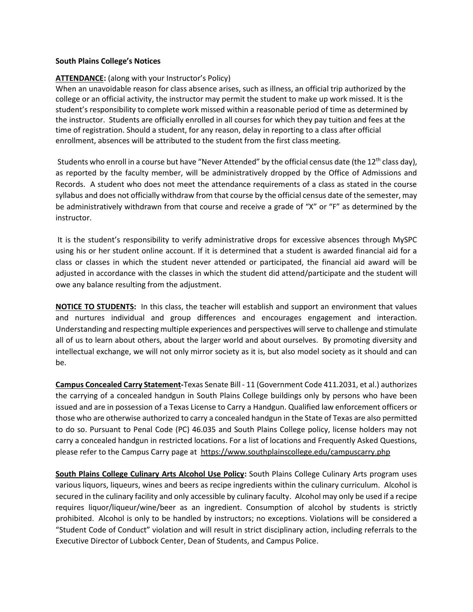## **South Plains College's Notices**

# **ATTENDANCE:** (along with your Instructor's Policy)

When an unavoidable reason for class absence arises, such as illness, an official trip authorized by the college or an official activity, the instructor may permit the student to make up work missed. It is the student's responsibility to complete work missed within a reasonable period of time as determined by the instructor. Students are officially enrolled in all courses for which they pay tuition and fees at the time of registration. Should a student, for any reason, delay in reporting to a class after official enrollment, absences will be attributed to the student from the first class meeting.

Students who enroll in a course but have "Never Attended" by the official census date (the  $12^{th}$  class day), as reported by the faculty member, will be administratively dropped by the Office of Admissions and Records. A student who does not meet the attendance requirements of a class as stated in the course syllabus and does not officially withdraw from that course by the official census date of the semester, may be administratively withdrawn from that course and receive a grade of "X" or "F" as determined by the instructor.

It is the student's responsibility to verify administrative drops for excessive absences through MySPC using his or her student online account. If it is determined that a student is awarded financial aid for a class or classes in which the student never attended or participated, the financial aid award will be adjusted in accordance with the classes in which the student did attend/participate and the student will owe any balance resulting from the adjustment.

**NOTICE TO STUDENTS:** In this class, the teacher will establish and support an environment that values and nurtures individual and group differences and encourages engagement and interaction. Understanding and respecting multiple experiences and perspectives will serve to challenge and stimulate all of us to learn about others, about the larger world and about ourselves. By promoting diversity and intellectual exchange, we will not only mirror society as it is, but also model society as it should and can be.

**Campus Concealed Carry Statement-**Texas Senate Bill - 11 (Government Code 411.2031, et al.) authorizes the carrying of a concealed handgun in South Plains College buildings only by persons who have been issued and are in possession of a Texas License to Carry a Handgun. Qualified law enforcement officers or those who are otherwise authorized to carry a concealed handgun in the State of Texas are also permitted to do so. Pursuant to Penal Code (PC) 46.035 and South Plains College policy, license holders may not carry a concealed handgun in restricted locations. For a list of locations and Frequently Asked Questions, please refer to the Campus Carry page at [https://www.southplainscollege.edu/campuscarry.php](http://www.southplainscollege.edu/campuscarry.php)

**South Plains College Culinary Arts Alcohol Use Policy:** South Plains College Culinary Arts program uses various liquors, liqueurs, wines and beers as recipe ingredients within the culinary curriculum. Alcohol is secured in the culinary facility and only accessible by culinary faculty. Alcohol may only be used if a recipe requires liquor/liqueur/wine/beer as an ingredient. Consumption of alcohol by students is strictly prohibited. Alcohol is only to be handled by instructors; no exceptions. Violations will be considered a "Student Code of Conduct" violation and will result in strict disciplinary action, including referrals to the Executive Director of Lubbock Center, Dean of Students, and Campus Police.